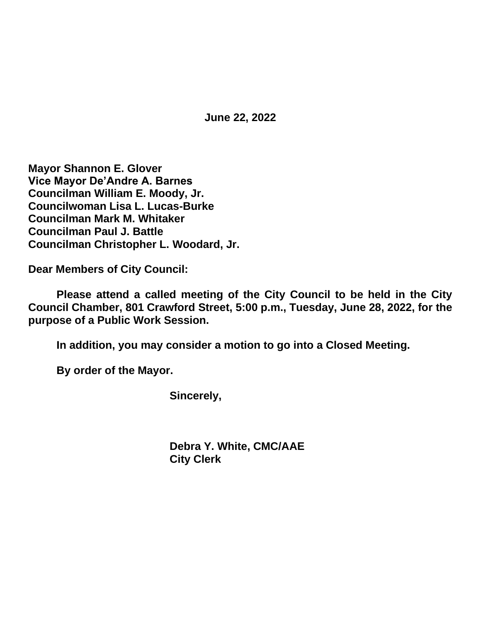**June 22, 2022**

**Mayor Shannon E. Glover Vice Mayor De'Andre A. Barnes Councilman William E. Moody, Jr. Councilwoman Lisa L. Lucas-Burke Councilman Mark M. Whitaker Councilman Paul J. Battle Councilman Christopher L. Woodard, Jr.**

**Dear Members of City Council:**

**Please attend a called meeting of the City Council to be held in the City Council Chamber, 801 Crawford Street, 5:00 p.m., Tuesday, June 28, 2022, for the purpose of a Public Work Session.**

**In addition, you may consider a motion to go into a Closed Meeting.**

**By order of the Mayor.**

**Sincerely,**

**Debra Y. White, CMC/AAE City Clerk**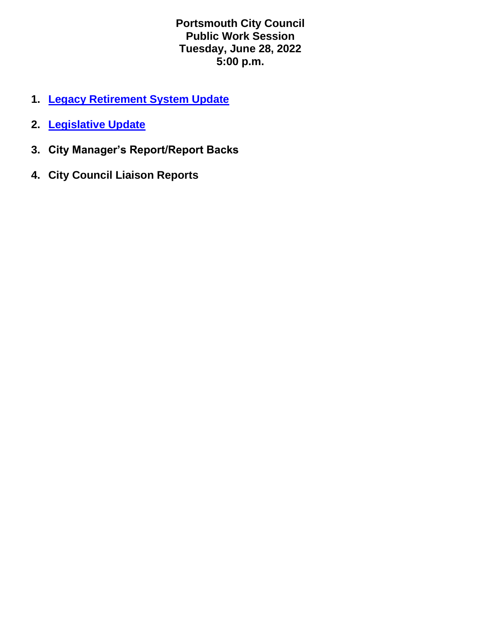**Portsmouth City Council Public Work Session Tuesday, June 28, 2022 5:00 p.m.**

- **1. [Legacy Retirement System Update](https://www.portsmouthva.gov/DocumentCenter/View/12594/June-28-2022-Council-Briefing-FINAL)**
- **2. [Legislative Update](https://www.portsmouthva.gov/DocumentCenter/View/12595/2022-State-Legislative-Initiatives-Presentation---Final-Report--Revised)**
- **3. City Manager's Report/Report Backs**
- **4. City Council Liaison Reports**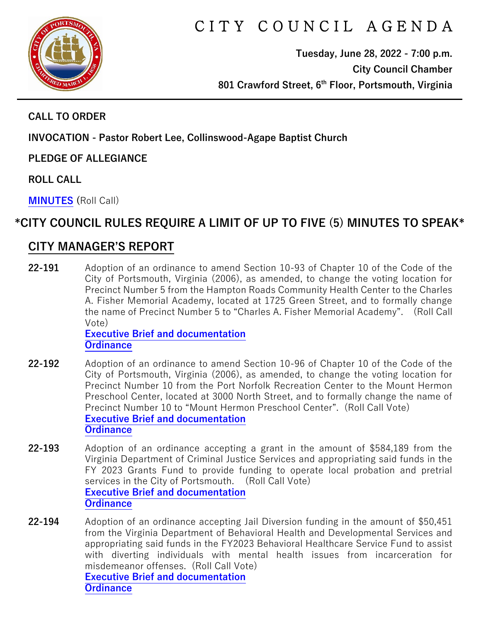

# C I T Y C O U N C I L A G E N D A

**Tuesday, June 28, 2022 - 7:00 p.m. City Council Chamber 801 Crawford Street, 6th Floor, Portsmouth, Virginia**

#### **CALL TO ORDER**

**INVOCATION - Pastor Robert Lee, Collinswood-Agape Baptist Church**

**PLEDGE OF ALLEGIANCE** 

**ROLL CALL**

**[MINUTES](https://www.portsmouthva.gov/DocumentCenter/View/12559/City-Council-Minutes) (**Roll Call)

#### **\*CITY COUNCIL RULES REQUIRE A LIMIT OF UP TO FIVE (5) MINUTES TO SPEAK\***

#### **CITY MANAGER'S REPORT**

**22-191** Adoption of an ordinance to amend Section 10-93 of Chapter 10 of the Code of the City of Portsmouth, Virginia (2006), as amended, to change the voting location for Precinct Number 5 from the Hampton Roads Community Health Center to the Charles A. Fisher Memorial Academy, located at 1725 Green Street, and to formally change the name of Precinct Number 5 to "Charles A. Fisher Memorial Academy". (Roll Call Vote)

**[Executive Brief and documentation](https://www.portsmouthva.gov/DocumentCenter/View/12560/22-191-CMR-and-documentation) [Ordinance](https://www.portsmouthva.gov/DocumentCenter/View/12561/22-191-Ordinance)**

- **22-192** Adoption of an ordinance to amend Section 10-96 of Chapter 10 of the Code of the City of Portsmouth, Virginia (2006), as amended, to change the voting location for Precinct Number 10 from the Port Norfolk Recreation Center to the Mount Hermon Preschool Center, located at 3000 North Street, and to formally change the name of Precinct Number 10 to "Mount Hermon Preschool Center". (Roll Call Vote) **[Executive Brief and documentation](https://www.portsmouthva.gov/DocumentCenter/View/12597/22-192-CMR-and-documentation) [Ordinance](https://www.portsmouthva.gov/DocumentCenter/View/12563/22-192-Ordinance)**
- **22-193** Adoption of an ordinance accepting a grant in the amount of \$584,189 from the Virginia Department of Criminal Justice Services and appropriating said funds in the FY 2023 Grants Fund to provide funding to operate local probation and pretrial services in the City of Portsmouth. (Roll Call Vote) **[Executive Brief and documentation](https://www.portsmouthva.gov/DocumentCenter/View/12564/22-193-CMR-and-documentation) [Ordinance](https://www.portsmouthva.gov/DocumentCenter/View/12565/22-193-Ordinance)**
- **22-194** Adoption of an ordinance accepting Jail Diversion funding in the amount of \$50,451 from the Virginia Department of Behavioral Health and Developmental Services and appropriating said funds in the FY2023 Behavioral Healthcare Service Fund to assist with diverting individuals with mental health issues from incarceration for misdemeanor offenses. (Roll Call Vote) **[Executive Brief and documentation](https://www.portsmouthva.gov/DocumentCenter/View/12566/22-194-CMR-and-documentation) [Ordinance](https://www.portsmouthva.gov/DocumentCenter/View/12567/22-194-Ordinance)**